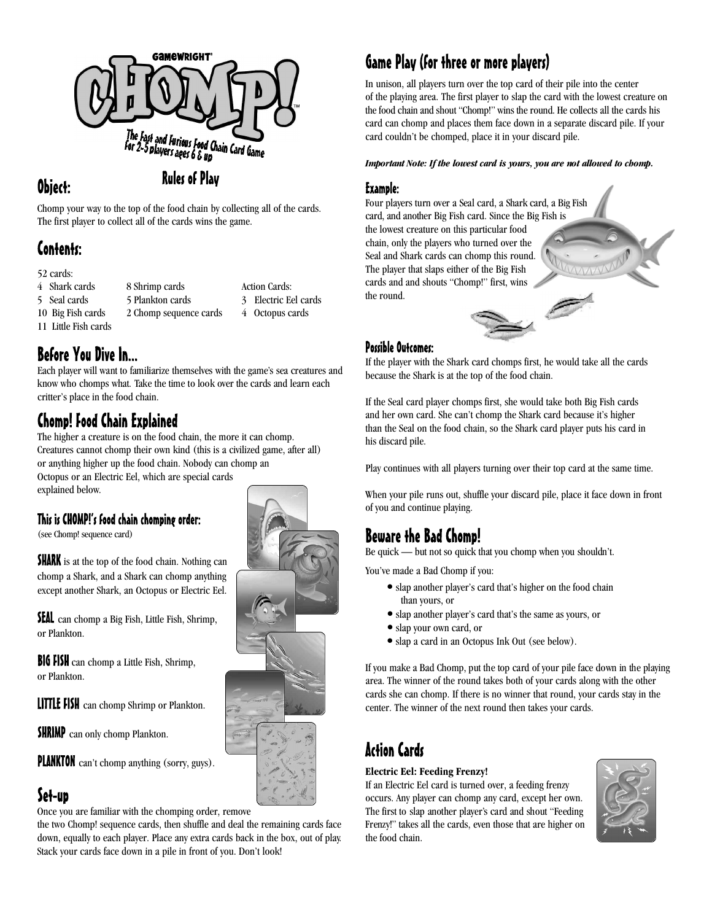

### Obiect:

**Rules of Play** 

Chomp your way to the top of the food chain by collecting all of the cards. The first player to collect all of the cards wins the game.

8 Shrimp cards

# Contents:

52 cards:

- 4 Shark cards
- 5 Seal cards
- 10 Big Fish cards

11 Little Fish cards

5 Plankton cards 2 Chomp sequence cards 3 Electric Eel cards 4 Octopus cards

Action Cards:

Before You Dive In...

Each player will want to familiarize themselves with the game's sea creatures and know who chomps what. Take the time to look over the cards and learn each critter's place in the food chain.

# **Chomp! Food Chain Explained**

The higher a creature is on the food chain, the more it can chomp. Creatures cannot chomp their own kind (this is a civilized game, after all) or anything higher up the food chain. Nobody can chomp an Octopus or an Electric Eel, which are special cards explained below.

### This is CHOMP!'s food chain chomping order:

(see Chomp! sequence card)

**SHARK** is at the top of the food chain. Nothing can chomp a Shark, and a Shark can chomp anything except another Shark, an Octopus or Electric Eel.

**SEAL** can chomp a Big Fish, Little Fish, Shrimp, or Plankton.

**BIG FISH** can chomp a Little Fish, Shrimp, or Plankton.

**LITTLE FISH** can chomp Shrimp or Plankton.

**SHRIMP** can only chomp Plankton.

**PLANKTON** can't chomp anything (sorry, guys).

## Set-up

Once you are familiar with the chomping order, remove

the two Chomp! sequence cards, then shuffle and deal the remaining cards face down, equally to each player. Place any extra cards back in the box, out of play. Stack your cards face down in a pile in front of you. Don't look!



# Game Play (for three or more players)

In unison, all players turn over the top card of their pile into the center of the playing area. The first player to slap the card with the lowest creature on the food chain and shout "Chomp!" wins the round. He collects all the cards his card can chomp and places them face down in a separate discard pile. If your card couldn't be chomped, place it in your discard pile.

#### *Important Note: If the lowest card is yours, you are not allowed to chomp.*

### Example:

Four players turn over a Seal card, a Shark card, a Big Fish card, and another Big Fish card. Since the Big Fish is the lowest creature on this particular food chain, only the players who turned over the Seal and Shark cards can chomp this round. The player that slaps either of the Big Fish cards and and shouts "Chomp!" first, wins the round.



If the player with the Shark card chomps first, he would take all the cards because the Shark is at the top of the food chain.

If the Seal card player chomps first, she would take both Big Fish cards and her own card. She can't chomp the Shark card because it's higher than the Seal on the food chain, so the Shark card player puts his card in his discard pile.

Play continues with all players turning over their top card at the same time.

When your pile runs out, shuffle your discard pile, place it face down in front of you and continue playing.

## Beware the Bad Chomp!

Be quick — but not so quick that you chomp when you shouldn't.

You've made a Bad Chomp if you:

- slap another player's card that's higher on the food chain than yours, or
- slap another player's card that's the same as yours, or
- slap your own card, or
- slap a card in an Octopus Ink Out (see below).

If you make a Bad Chomp, put the top card of your pile face down in the playing area. The winner of the round takes both of your cards along with the other cards she can chomp. If there is no winner that round, your cards stay in the center. The winner of the next round then takes your cards.

# **Action Cards**

### **Electric Eel: Feeding Frenzy!**

If an Electric Eel card is turned over, a feeding frenzy occurs. Any player can chomp any card, except her own. The first to slap another player's card and shout "Feeding Frenzy!" takes all the cards, even those that are higher on the food chain.